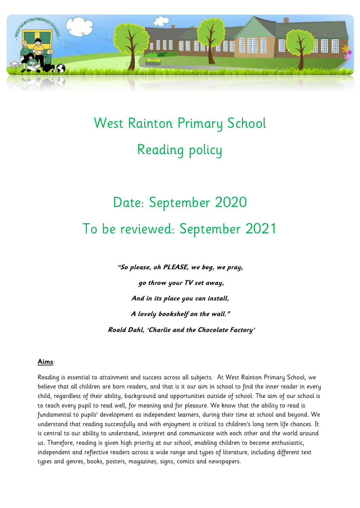

# West Rainton Primary School Reading policy

# Date: September 2020 To be reviewed: September 2021

**"So please, oh PLEASE, we beg, we pray,**

**go throw your TV set away, And in its place you can install, A lovely bookshelf on the wall." Roald Dahl, 'Charlie and the Chocolate Factory'**

#### **Aims**:

Reading is essential to attainment and success across all subjects. At West Rainton Primary School, we believe that all children are born readers, and that is it our aim in school to find the inner reader in every child, regardless of their ability, background and opportunities outside of school. The aim of our school is to teach every pupil to read well, for meaning and for pleasure. We know that the ability to read is fundamental to pupils' development as independent learners, during their time at school and beyond. We understand that reading successfully and with enjoyment is critical to children's long term life chances. It is central to our ability to understand, interpret and communicate with each other and the world around us. Therefore, reading is given high priority at our school, enabling children to become enthusiastic, independent and reflective readers across a wide range and types of literature, including different text types and genres, books, posters, magazines, signs, comics and newspapers.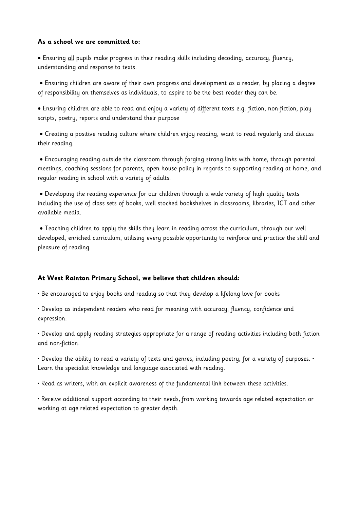#### **As a school we are committed to:**

 Ensuring all pupils make progress in their reading skills including decoding, accuracy, fluency, understanding and response to texts.

 Ensuring children are aware of their own progress and development as a reader, by placing a degree of responsibility on themselves as individuals, to aspire to be the best reader they can be.

 Ensuring children are able to read and enjoy a variety of different texts e.g. fiction, non-fiction, play scripts, poetry, reports and understand their purpose

 Creating a positive reading culture where children enjoy reading, want to read regularly and discuss their reading.

 Encouraging reading outside the classroom through forging strong links with home, through parental meetings, coaching sessions for parents, open house policy in regards to supporting reading at home, and regular reading in school with a variety of adults.

 Developing the reading experience for our children through a wide variety of high quality texts including the use of class sets of books, well stocked bookshelves in classrooms, libraries, ICT and other available media.

 Teaching children to apply the skills they learn in reading across the curriculum, through our well developed, enriched curriculum, utilising every possible opportunity to reinforce and practice the skill and pleasure of reading.

#### **At West Rainton Primary School, we believe that children should:**

• Be encouraged to enjoy books and reading so that they develop a lifelong love for books

• Develop as independent readers who read for meaning with accuracy, fluency, confidence and expression.

• Develop and apply reading strategies appropriate for a range of reading activities including both fiction and non-fiction.

• Develop the ability to read a variety of texts and genres, including poetry, for a variety of purposes. • Learn the specialist knowledge and language associated with reading.

• Read as writers, with an explicit awareness of the fundamental link between these activities.

• Receive additional support according to their needs, from working towards age related expectation or working at age related expectation to greater depth.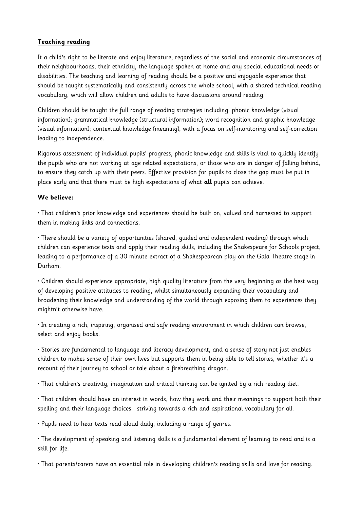## **Teaching reading**

It a child's right to be literate and enjoy literature, regardless of the social and economic circumstances of their neighbourhoods, their ethnicity, the language spoken at home and any special educational needs or disabilities. The teaching and learning of reading should be a positive and enjoyable experience that should be taught systematically and consistently across the whole school, with a shared technical reading vocabulary, which will allow children and adults to have discussions around reading.

Children should be taught the full range of reading strategies including: phonic knowledge (visual information); grammatical knowledge (structural information); word recognition and graphic knowledge (visual information); contextual knowledge (meaning), with a focus on self-monitoring and self-correction leading to independence.

Rigorous assessment of individual pupils' progress, phonic knowledge and skills is vital to quickly identify the pupils who are not working at age related expectations, or those who are in danger of falling behind, to ensure they catch up with their peers. Effective provision for pupils to close the gap must be put in place early and that there must be high expectations of what **all** pupils can achieve.

#### **We believe:**

• That children's prior knowledge and experiences should be built on, valued and harnessed to support them in making links and connections.

• There should be a variety of opportunities (shared, guided and independent reading) through which children can experience texts and apply their reading skills, including the Shakespeare for Schools project, leading to a performance of a 30 minute extract of a Shakespearean play on the Gala Theatre stage in Durham.

• Children should experience appropriate, high quality literature from the very beginning as the best way of developing positive attitudes to reading, whilst simultaneously expanding their vocabulary and broadening their knowledge and understanding of the world through exposing them to experiences they mightn't otherwise have.

• In creating a rich, inspiring, organised and safe reading environment in which children can browse, select and enjoy books.

• Stories are fundamental to language and literacy development, and a sense of story not just enables children to makes sense of their own lives but supports them in being able to tell stories, whether it's a recount of their journey to school or tale about a firebreathing dragon.

• That children's creativity, imagination and critical thinking can be ignited by a rich reading diet.

• That children should have an interest in words, how they work and their meanings to support both their spelling and their language choices - striving towards a rich and aspirational vocabulary for all.

• Pupils need to hear texts read aloud daily, including a range of genres.

• The development of speaking and listening skills is a fundamental element of learning to read and is a skill for life.

• That parents/carers have an essential role in developing children's reading skills and love for reading.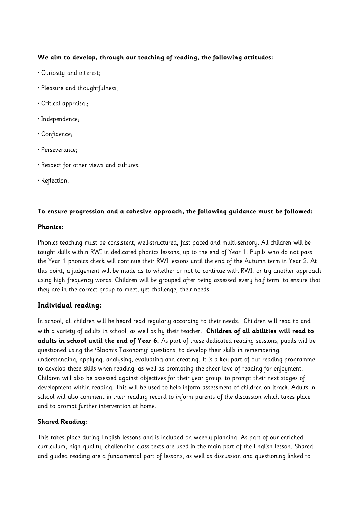## **We aim to develop, through our teaching of reading, the following attitudes:**

- Curiosity and interest;
- Pleasure and thoughtfulness;
- Critical appraisal;
- Independence;
- Confidence;
- Perseverance;
- Respect for other views and cultures;
- Reflection.

#### **To ensure progression and a cohesive approach, the following guidance must be followed:**

#### **Phonics:**

Phonics teaching must be consistent, well-structured, fast paced and multi-sensory. All children will be taught skills within RWI in dedicated phonics lessons, up to the end of Year 1. Pupils who do not pass the Year 1 phonics check will continue their RWI lessons until the end of the Autumn term in Year 2. At this point, a judgement will be made as to whether or not to continue with RWI, or try another approach using high frequency words. Children will be grouped after being assessed every half term, to ensure that they are in the correct group to meet, yet challenge, their needs.

# **Individual reading:**

In school, all children will be heard read regularly according to their needs. Children will read to and with a variety of adults in school, as well as by their teacher. **Children of all abilities will read to adults in school until the end of Year 6.** As part of these dedicated reading sessions, pupils will be questioned using the 'Bloom's Taxonomy' questions, to develop their skills in remembering, understanding, applying, analysing, evaluating and creating. It is a key part of our reading programme to develop these skills when reading, as well as promoting the sheer love of reading for enjoyment. Children will also be assessed against objectives for their year group, to prompt their next stages of development within reading. This will be used to help inform assessment of children on itrack. Adults in school will also comment in their reading record to inform parents of the discussion which takes place and to prompt further intervention at home.

## **Shared Reading:**

This takes place during English lessons and is included on weekly planning. As part of our enriched curriculum, high quality, challenging class texts are used in the main part of the English lesson. Shared and guided reading are a fundamental part of lessons, as well as discussion and questioning linked to